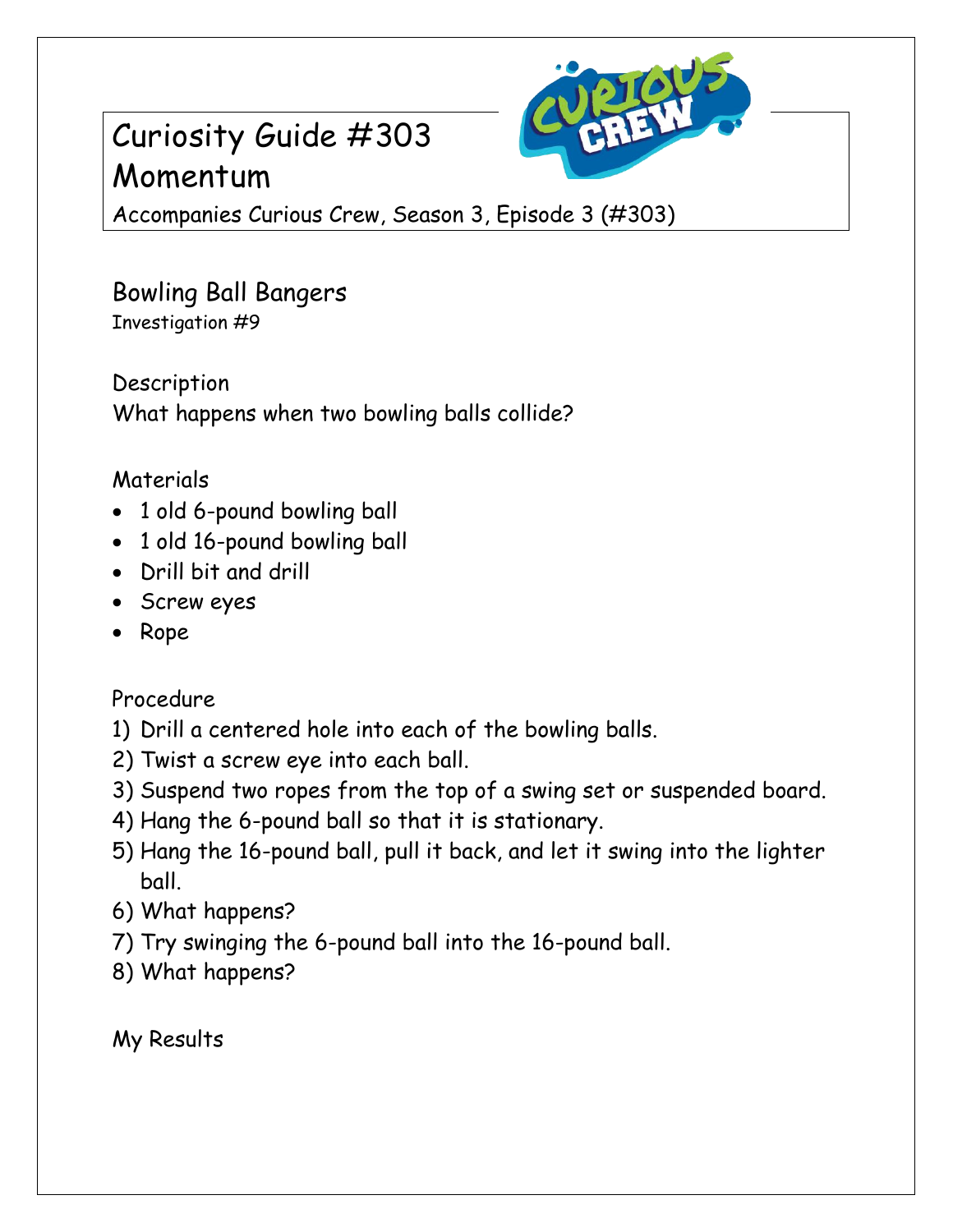## Curiosity Guide #303 Momentum



Accompanies Curious Crew, Season 3, Episode 3 (#303)

Bowling Ball Bangers Investigation #9

Description What happens when two bowling balls collide?

## Materials

- 1 old 6-pound bowling ball
- 1 old 16-pound bowling ball
- Drill bit and drill
- Screw eyes
- Rope

Procedure

- 1) Drill a centered hole into each of the bowling balls.
- 2) Twist a screw eye into each ball.
- 3) Suspend two ropes from the top of a swing set or suspended board.
- 4) Hang the 6-pound ball so that it is stationary.
- 5) Hang the 16-pound ball, pull it back, and let it swing into the lighter ball.
- 6) What happens?
- 7) Try swinging the 6-pound ball into the 16-pound ball.
- 8) What happens?

My Results